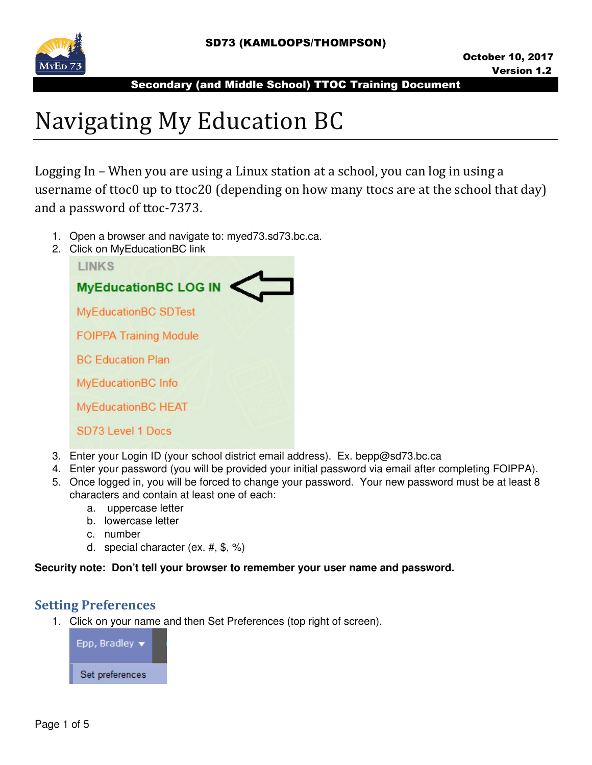

# Navigating My Education BC

Logging In – When you are using a Linux station at a school, you can log in using a username of ttoc0 up to ttoc20 (depending on how many ttocs are at the school that day) and a password of ttoc-7373.

- 1. Open a browser and navigate to: myed73.sd73.bc.ca.
- 2. Click on MyEducationBC link



- 3. Enter your Login ID (your school district email address). Ex. bepp@sd73.bc.ca
- 4. Enter your password (you will be provided your initial password via email after completing FOIPPA).
- 5. Once logged in, you will be forced to change your password. Your new password must be at least 8 characters and contain at least one of each:
	- a. uppercase letter
	- b. lowercase letter
	- c. number
	- d. special character (ex. #, \$, %)

#### **Security note: Don't tell your browser to remember your user name and password.**

## Setting Preferences

1. Click on your name and then Set Preferences (top right of screen).

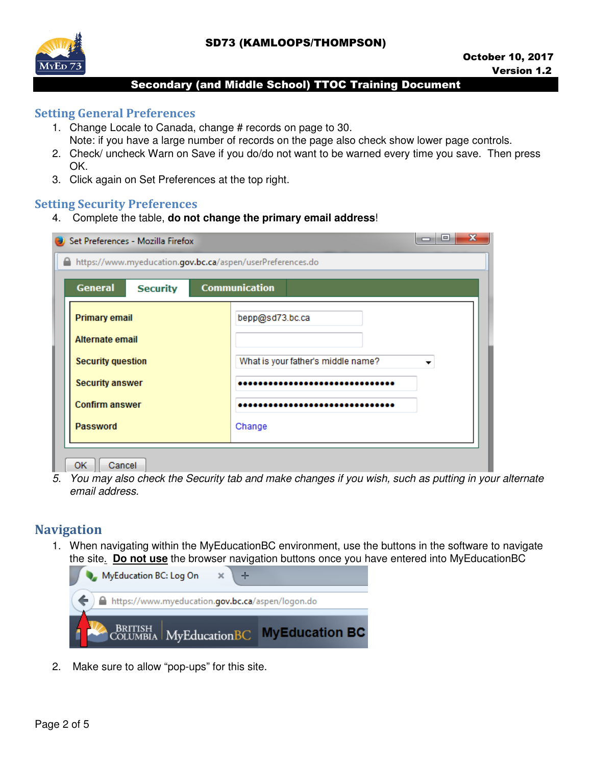

## Setting General Preferences

- 1. Change Locale to Canada, change # records on page to 30. Note: if you have a large number of records on the page also check show lower page controls.
- 2. Check/ uncheck Warn on Save if you do/do not want to be warned every time you save. Then press OK.
- 3. Click again on Set Preferences at the top right.

## Setting Security Preferences

4. Complete the table, **do not change the primary email address**!

| x<br>l۰<br>Set Preferences - Mozilla Firefox       |                                                            |                                        |                      |  |  |  |
|----------------------------------------------------|------------------------------------------------------------|----------------------------------------|----------------------|--|--|--|
| ≏                                                  | https://www.myeducation.gov.bc.ca/aspen/userPreferences.do |                                        |                      |  |  |  |
| <b>General</b>                                     | <b>Security</b>                                            |                                        | <b>Communication</b> |  |  |  |
| Primary email<br>Alternate email                   |                                                            | bepp@sd73.bc.ca                        |                      |  |  |  |
| <b>Security question</b><br><b>Security answer</b> |                                                            | What is your father's middle name?<br> |                      |  |  |  |
| <b>Confirm answer</b><br><b>Password</b>           |                                                            | Change                                 |                      |  |  |  |
| ОΚ<br>Cancel                                       |                                                            |                                        |                      |  |  |  |

5. You may also check the Security tab and make changes if you wish, such as putting in your alternate email address.

## **Navigation**

1. When navigating within the MyEducationBC environment, use the buttons in the software to navigate the site. **Do not use** the browser navigation buttons once you have entered into MyEducationBC



2. Make sure to allow "pop-ups" for this site.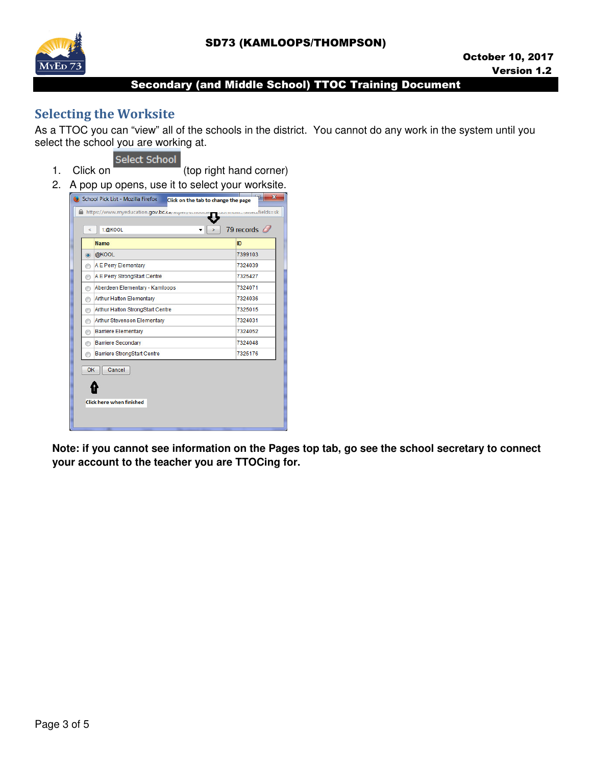

## Selecting the Worksite

As a TTOC you can "view" all of the schools in the district. You cannot do any work in the system until you select the school you are working at.



1. Click on (top right hand corner)

2. A pop up opens, use it to select your worksite.



**Note: if you cannot see information on the Pages top tab, go see the school secretary to connect your account to the teacher you are TTOCing for.**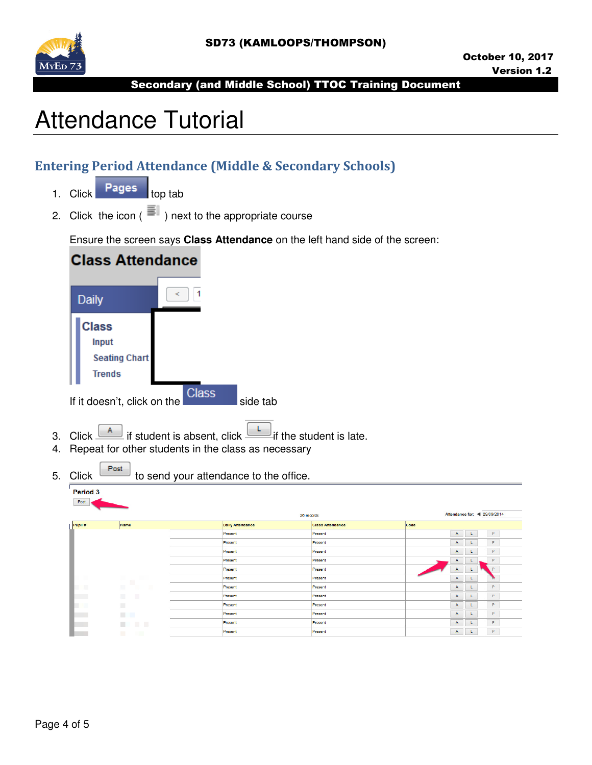

# Attendance Tutorial

## Entering Period Attendance (Middle & Secondary Schools)

- 1. Click  $\begin{array}{|c|c|c|}\n\hline\n\text{Pages} & \text{top tab}\n\end{array}$
- 2. Click the icon ( $\equiv$  ) next to the appropriate course

Ensure the screen says **Class Attendance** on the left hand side of the screen:

|    | <b>Class Attendance</b>                                               |                                                                    |
|----|-----------------------------------------------------------------------|--------------------------------------------------------------------|
|    | <b>Daily</b>                                                          |                                                                    |
|    | <b>Class</b><br><b>Input</b><br><b>Seating Chart</b><br><b>Trends</b> | <b>Class</b>                                                       |
| 3. | If it doesn't, click on the<br>Click                                  | side tab<br>if student is absent, click<br>if the student is late. |

- 4. Repeat for other students in the class as necessary
	-

Period 3 Post

5. Click to send your attendance to the office.

|         | $ -$                 |                         |                         |              |                              |
|---------|----------------------|-------------------------|-------------------------|--------------|------------------------------|
|         |                      | 26 records              |                         |              | Attendance for: 4 29/09/2014 |
| Pupil # | Name                 | <b>Daily Attendance</b> | <b>Class Attendance</b> | Code         |                              |
|         |                      | Present                 | Present                 | A            | P.<br>t.                     |
|         |                      | Present                 | Present                 | A            | P.<br>L.                     |
|         |                      | Present                 | Present                 | A.           | P.<br>υ                      |
|         |                      | Present                 | Present                 | A            | P<br>ц                       |
|         |                      | Present                 | Present                 | A            | P<br>ι                       |
|         |                      | Present                 | Present                 | $\mathsf{A}$ | L.                           |
| п       | ш                    | Present                 | Present                 | A            | P.<br>ι                      |
|         | m.<br><b>I</b>       | Present                 | Present                 | A            | P.<br>L.                     |
|         | п                    | Present                 | Present                 | A            | P.<br>υ                      |
|         | <b>COLOR</b>         | Present                 | Present                 | A            | P.<br>L.                     |
|         | <b>COLLEGE</b><br>m. | Present                 | Present                 | A            | P.<br>L.                     |
|         | ٠                    | Present                 | Present                 | A            | P.<br>L.                     |